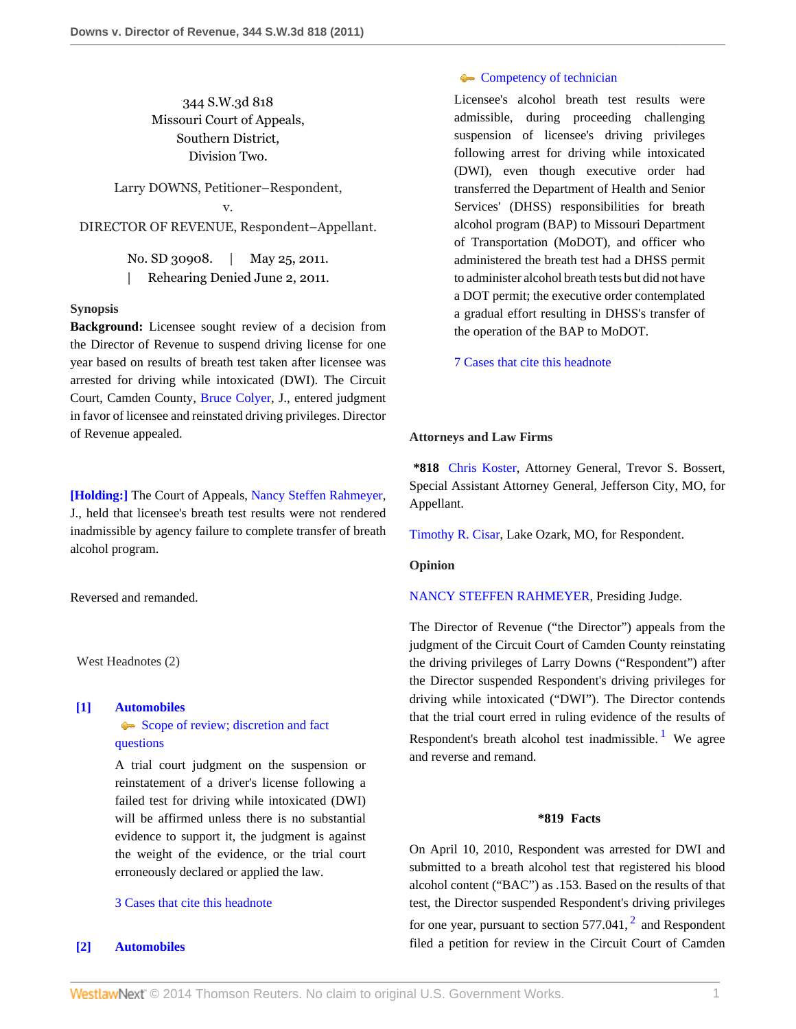# 344 S.W.3d 818 Missouri Court of Appeals, Southern District, Division Two.

Larry DOWNS, Petitioner–Respondent, v. DIRECTOR OF REVENUE, Respondent–Appellant.

> No. SD 30908. | May 25, 2011. | Rehearing Denied June 2, 2011.

#### **Synopsis**

**Background:** Licensee sought review of a decision from the Director of Revenue to suspend driving license for one year based on results of breath test taken after licensee was arrested for driving while intoxicated (DWI). The Circuit Court, Camden County, [Bruce Colyer,](http://www.westlaw.com/Link/Document/FullText?findType=h&pubNum=176284&cite=0282927201&originatingDoc=I186d292a877711e0a34df17ea74c323f&refType=RQ&originationContext=document&vr=3.0&rs=cblt1.0&transitionType=DocumentItem&contextData=(sc.Search)) J., entered judgment in favor of licensee and reinstated driving privileges. Director of Revenue appealed.

**[\[Holding:\]](#page-0-0)** The Court of Appeals, [Nancy Steffen Rahmeyer](http://www.westlaw.com/Link/Document/FullText?findType=h&pubNum=176284&cite=0318661501&originatingDoc=I186d292a877711e0a34df17ea74c323f&refType=RQ&originationContext=document&vr=3.0&rs=cblt1.0&transitionType=DocumentItem&contextData=(sc.Search)), J., held that licensee's breath test results were not rendered inadmissible by agency failure to complete transfer of breath alcohol program.

Reversed and remanded.

West Headnotes (2)

#### <span id="page-0-1"></span>**[\[1\]](#page-2-0) [Automobiles](http://www.westlaw.com/Browse/Home/KeyNumber/48A/View.html?docGuid=I186d292a877711e0a34df17ea74c323f&originationContext=document&vr=3.0&rs=cblt1.0&transitionType=DocumentItem&contextData=(sc.Search))**

[Scope of review; discretion and fact](http://www.westlaw.com/Browse/Home/KeyNumber/48Ak144.2(3)/View.html?docGuid=I186d292a877711e0a34df17ea74c323f&originationContext=document&vr=3.0&rs=cblt1.0&transitionType=DocumentItem&contextData=(sc.Search)) [questions](http://www.westlaw.com/Browse/Home/KeyNumber/48Ak144.2(3)/View.html?docGuid=I186d292a877711e0a34df17ea74c323f&originationContext=document&vr=3.0&rs=cblt1.0&transitionType=DocumentItem&contextData=(sc.Search))

A trial court judgment on the suspension or reinstatement of a driver's license following a failed test for driving while intoxicated (DWI) will be affirmed unless there is no substantial evidence to support it, the judgment is against the weight of the evidence, or the trial court erroneously declared or applied the law.

# [3 Cases that cite this headnote](http://www.westlaw.com/Link/RelatedInformation/DocHeadnoteLink?docGuid=I186d292a877711e0a34df17ea74c323f&headnoteId=202535369700120111026164840&originationContext=document&vr=3.0&rs=cblt1.0&transitionType=CitingReferences&contextData=(sc.Search))

## <span id="page-0-0"></span>**[\[2\]](#page-2-1) [Automobiles](http://www.westlaw.com/Browse/Home/KeyNumber/48A/View.html?docGuid=I186d292a877711e0a34df17ea74c323f&originationContext=document&vr=3.0&rs=cblt1.0&transitionType=DocumentItem&contextData=(sc.Search))**

# **[Competency of technician](http://www.westlaw.com/Browse/Home/KeyNumber/48Ak423/View.html?docGuid=I186d292a877711e0a34df17ea74c323f&originationContext=document&vr=3.0&rs=cblt1.0&transitionType=DocumentItem&contextData=(sc.Search))**

Licensee's alcohol breath test results were admissible, during proceeding challenging suspension of licensee's driving privileges following arrest for driving while intoxicated (DWI), even though executive order had transferred the Department of Health and Senior Services' (DHSS) responsibilities for breath alcohol program (BAP) to Missouri Department of Transportation (MoDOT), and officer who administered the breath test had a DHSS permit to administer alcohol breath tests but did not have a DOT permit; the executive order contemplated a gradual effort resulting in DHSS's transfer of the operation of the BAP to MoDOT.

[7 Cases that cite this headnote](http://www.westlaw.com/Link/RelatedInformation/DocHeadnoteLink?docGuid=I186d292a877711e0a34df17ea74c323f&headnoteId=202535369700220111026164840&originationContext=document&vr=3.0&rs=cblt1.0&transitionType=CitingReferences&contextData=(sc.Search))

#### **Attorneys and Law Firms**

**\*818** [Chris Koster,](http://www.westlaw.com/Link/Document/FullText?findType=h&pubNum=176284&cite=0369913201&originatingDoc=I186d292a877711e0a34df17ea74c323f&refType=RQ&originationContext=document&vr=3.0&rs=cblt1.0&transitionType=DocumentItem&contextData=(sc.Search)) Attorney General, Trevor S. Bossert, Special Assistant Attorney General, Jefferson City, MO, for Appellant.

[Timothy R. Cisar,](http://www.westlaw.com/Link/Document/FullText?findType=h&pubNum=176284&cite=0155765801&originatingDoc=I186d292a877711e0a34df17ea74c323f&refType=RQ&originationContext=document&vr=3.0&rs=cblt1.0&transitionType=DocumentItem&contextData=(sc.Search)) Lake Ozark, MO, for Respondent.

### **Opinion**

#### [NANCY STEFFEN RAHMEYER,](http://www.westlaw.com/Link/Document/FullText?findType=h&pubNum=176284&cite=0318661501&originatingDoc=I186d292a877711e0a34df17ea74c323f&refType=RQ&originationContext=document&vr=3.0&rs=cblt1.0&transitionType=DocumentItem&contextData=(sc.Search)) Presiding Judge.

The Director of Revenue ("the Director") appeals from the judgment of the Circuit Court of Camden County reinstating the driving privileges of Larry Downs ("Respondent") after the Director suspended Respondent's driving privileges for driving while intoxicated ("DWI"). The Director contends that the trial court erred in ruling evidence of the results of Respondent's breath alcohol test inadmissible.<sup>[1](#page-3-0)</sup> We agree and reverse and remand.

### <span id="page-0-3"></span><span id="page-0-2"></span>**\*819 Facts**

On April 10, 2010, Respondent was arrested for DWI and submitted to a breath alcohol test that registered his blood alcohol content ("BAC") as .153. Based on the results of that test, the Director suspended Respondent's driving privileges for one year, pursuant to section  $577.041$ ,  $^2$  $^2$  and Respondent filed a petition for review in the Circuit Court of Camden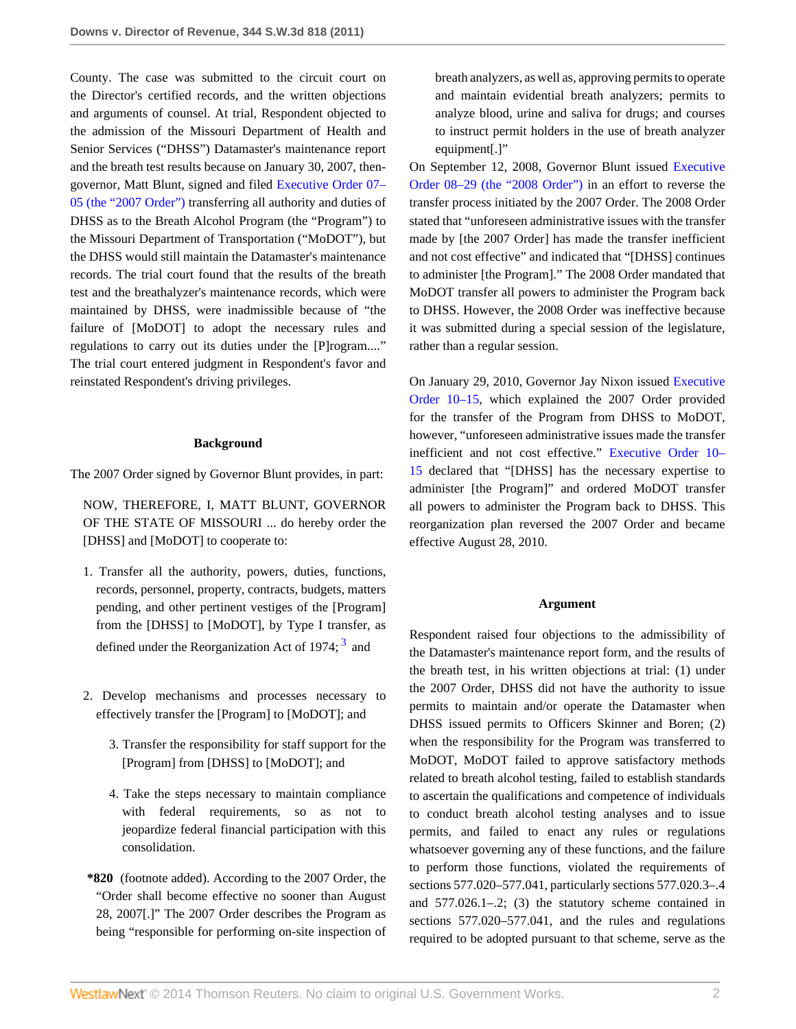County. The case was submitted to the circuit court on the Director's certified records, and the written objections and arguments of counsel. At trial, Respondent objected to the admission of the Missouri Department of Health and Senior Services ("DHSS") Datamaster's maintenance report and the breath test results because on January 30, 2007, thengovernor, Matt Blunt, signed and filed [Executive Order 07–](http://www.westlaw.com/Link/Document/FullText?findType=Y&pubNum=0001043&cite=EXECORDERNO07-05&originationContext=document&vr=3.0&rs=cblt1.0&transitionType=DocumentItem&contextData=(sc.Search)) [05 \(the "2007 Order"\)](http://www.westlaw.com/Link/Document/FullText?findType=Y&pubNum=0001043&cite=EXECORDERNO07-05&originationContext=document&vr=3.0&rs=cblt1.0&transitionType=DocumentItem&contextData=(sc.Search)) transferring all authority and duties of DHSS as to the Breath Alcohol Program (the "Program") to the Missouri Department of Transportation ("MoDOT"), but the DHSS would still maintain the Datamaster's maintenance records. The trial court found that the results of the breath test and the breathalyzer's maintenance records, which were maintained by DHSS, were inadmissible because of "the failure of [MoDOT] to adopt the necessary rules and regulations to carry out its duties under the [P]rogram...." The trial court entered judgment in Respondent's favor and reinstated Respondent's driving privileges.

#### **Background**

The 2007 Order signed by Governor Blunt provides, in part:

NOW, THEREFORE, I, MATT BLUNT, GOVERNOR OF THE STATE OF MISSOURI ... do hereby order the [DHSS] and [MoDOT] to cooperate to:

- 1. Transfer all the authority, powers, duties, functions, records, personnel, property, contracts, budgets, matters pending, and other pertinent vestiges of the [Program] from the [DHSS] to [MoDOT], by Type I transfer, as defined under the Reorganization Act of 1974;  $3$  and
- 2. Develop mechanisms and processes necessary to effectively transfer the [Program] to [MoDOT]; and
	- 3. Transfer the responsibility for staff support for the [Program] from [DHSS] to [MoDOT]; and
	- 4. Take the steps necessary to maintain compliance with federal requirements, so as not to jeopardize federal financial participation with this consolidation.
- **\*820** (footnote added). According to the 2007 Order, the "Order shall become effective no sooner than August 28, 2007[.]" The 2007 Order describes the Program as being "responsible for performing on-site inspection of

breath analyzers, as well as, approving permits to operate and maintain evidential breath analyzers; permits to analyze blood, urine and saliva for drugs; and courses to instruct permit holders in the use of breath analyzer equipment[.]"

On September 12, 2008, Governor Blunt issued [Executive](http://www.westlaw.com/Link/Document/FullText?findType=Y&pubNum=0001043&cite=EXECORDERNO08-29&originationContext=document&vr=3.0&rs=cblt1.0&transitionType=DocumentItem&contextData=(sc.Search)) [Order 08–29 \(the "2008 Order"\)](http://www.westlaw.com/Link/Document/FullText?findType=Y&pubNum=0001043&cite=EXECORDERNO08-29&originationContext=document&vr=3.0&rs=cblt1.0&transitionType=DocumentItem&contextData=(sc.Search)) in an effort to reverse the transfer process initiated by the 2007 Order. The 2008 Order stated that "unforeseen administrative issues with the transfer made by [the 2007 Order] has made the transfer inefficient and not cost effective" and indicated that "[DHSS] continues to administer [the Program]." The 2008 Order mandated that MoDOT transfer all powers to administer the Program back to DHSS. However, the 2008 Order was ineffective because it was submitted during a special session of the legislature, rather than a regular session.

On January 29, 2010, Governor Jay Nixon issued [Executive](http://www.westlaw.com/Link/Document/FullText?findType=Y&pubNum=0001043&cite=EXECORDERNO10-15&originationContext=document&vr=3.0&rs=cblt1.0&transitionType=DocumentItem&contextData=(sc.Search)) [Order 10–15,](http://www.westlaw.com/Link/Document/FullText?findType=Y&pubNum=0001043&cite=EXECORDERNO10-15&originationContext=document&vr=3.0&rs=cblt1.0&transitionType=DocumentItem&contextData=(sc.Search)) which explained the 2007 Order provided for the transfer of the Program from DHSS to MoDOT, however, "unforeseen administrative issues made the transfer inefficient and not cost effective." [Executive Order 10–](http://www.westlaw.com/Link/Document/FullText?findType=Y&pubNum=0001043&cite=EXECORDERNO10-15&originationContext=document&vr=3.0&rs=cblt1.0&transitionType=DocumentItem&contextData=(sc.Search)) [15](http://www.westlaw.com/Link/Document/FullText?findType=Y&pubNum=0001043&cite=EXECORDERNO10-15&originationContext=document&vr=3.0&rs=cblt1.0&transitionType=DocumentItem&contextData=(sc.Search)) declared that "[DHSS] has the necessary expertise to administer [the Program]" and ordered MoDOT transfer all powers to administer the Program back to DHSS. This reorganization plan reversed the 2007 Order and became effective August 28, 2010.

#### **Argument**

<span id="page-1-0"></span>Respondent raised four objections to the admissibility of the Datamaster's maintenance report form, and the results of the breath test, in his written objections at trial: (1) under the 2007 Order, DHSS did not have the authority to issue permits to maintain and/or operate the Datamaster when DHSS issued permits to Officers Skinner and Boren; (2) when the responsibility for the Program was transferred to MoDOT, MoDOT failed to approve satisfactory methods related to breath alcohol testing, failed to establish standards to ascertain the qualifications and competence of individuals to conduct breath alcohol testing analyses and to issue permits, and failed to enact any rules or regulations whatsoever governing any of these functions, and the failure to perform those functions, violated the requirements of sections 577.020–577.041, particularly sections 577.020.3–.4 and 577.026.1–.2; (3) the statutory scheme contained in sections 577.020–577.041, and the rules and regulations required to be adopted pursuant to that scheme, serve as the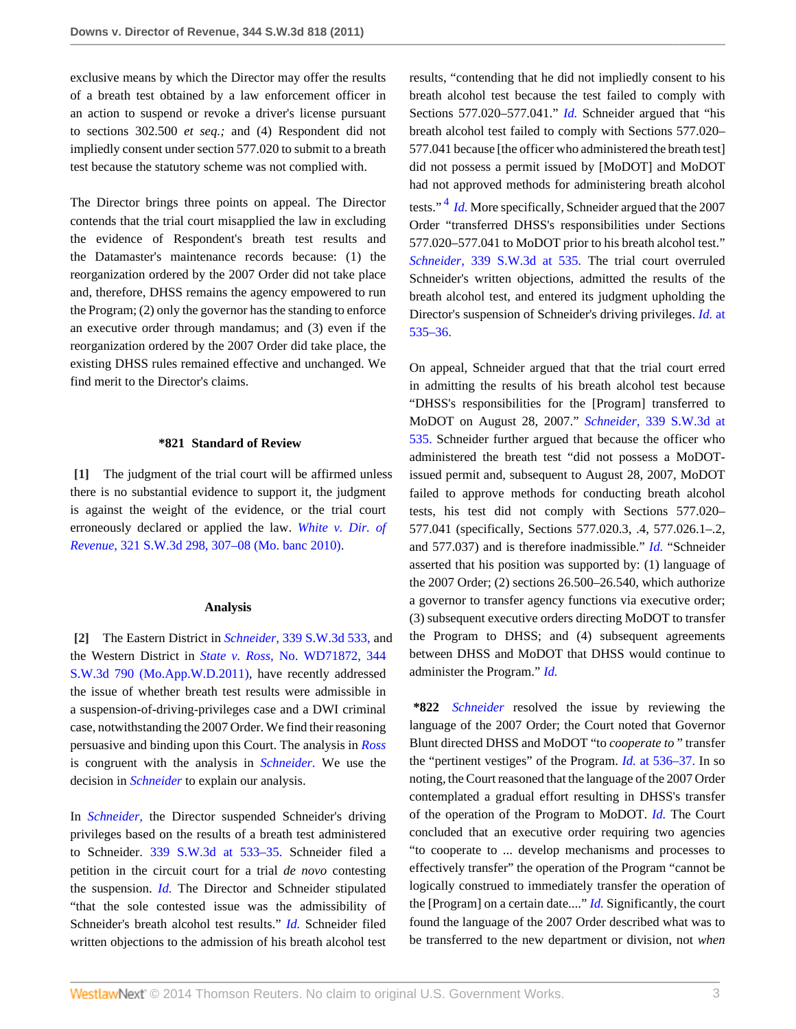exclusive means by which the Director may offer the results of a breath test obtained by a law enforcement officer in an action to suspend or revoke a driver's license pursuant to sections 302.500 *et seq.;* and (4) Respondent did not impliedly consent under section 577.020 to submit to a breath test because the statutory scheme was not complied with.

The Director brings three points on appeal. The Director contends that the trial court misapplied the law in excluding the evidence of Respondent's breath test results and the Datamaster's maintenance records because: (1) the reorganization ordered by the 2007 Order did not take place and, therefore, DHSS remains the agency empowered to run the Program; (2) only the governor has the standing to enforce an executive order through mandamus; and (3) even if the reorganization ordered by the 2007 Order did take place, the existing DHSS rules remained effective and unchanged. We find merit to the Director's claims.

#### **\*821 Standard of Review**

<span id="page-2-0"></span>**[\[1\]](#page-0-1)** The judgment of the trial court will be affirmed unless there is no substantial evidence to support it, the judgment is against the weight of the evidence, or the trial court erroneously declared or applied the law. *[White v. Dir. of](http://www.westlaw.com/Link/Document/FullText?findType=Y&serNum=2022811102&pubNum=4644&fi=co_pp_sp_4644_307&originationContext=document&vr=3.0&rs=cblt1.0&transitionType=DocumentItem&contextData=(sc.Search)#co_pp_sp_4644_307) Revenue,* [321 S.W.3d 298, 307–08 \(Mo. banc 2010\)](http://www.westlaw.com/Link/Document/FullText?findType=Y&serNum=2022811102&pubNum=4644&fi=co_pp_sp_4644_307&originationContext=document&vr=3.0&rs=cblt1.0&transitionType=DocumentItem&contextData=(sc.Search)#co_pp_sp_4644_307).

#### **Analysis**

<span id="page-2-1"></span>**[\[2\]](#page-0-0)** The Eastern District in *Schneider,* [339 S.W.3d 533,](http://www.westlaw.com/Link/Document/FullText?findType=Y&serNum=2025147908&pubNum=4644&originationContext=document&vr=3.0&rs=cblt1.0&transitionType=DocumentItem&contextData=(sc.Search)) and the Western District in *State v. Ross,* [No. WD71872, 344](http://www.westlaw.com/Link/Document/FullText?findType=Y&serNum=2025294572&pubNum=4644&originationContext=document&vr=3.0&rs=cblt1.0&transitionType=DocumentItem&contextData=(sc.Search)) [S.W.3d 790 \(Mo.App.W.D.2011\),](http://www.westlaw.com/Link/Document/FullText?findType=Y&serNum=2025294572&pubNum=4644&originationContext=document&vr=3.0&rs=cblt1.0&transitionType=DocumentItem&contextData=(sc.Search)) have recently addressed the issue of whether breath test results were admissible in a suspension-of-driving-privileges case and a DWI criminal case, notwithstanding the 2007 Order. We find their reasoning persuasive and binding upon this Court. The analysis in *[Ross](http://www.westlaw.com/Link/Document/FullText?findType=Y&serNum=2025294572&originationContext=document&vr=3.0&rs=cblt1.0&transitionType=DocumentItem&contextData=(sc.Search))* is congruent with the analysis in *[Schneider.](http://www.westlaw.com/Link/Document/FullText?findType=Y&serNum=2025147908&originationContext=document&vr=3.0&rs=cblt1.0&transitionType=DocumentItem&contextData=(sc.Search))* We use the decision in *[Schneider](http://www.westlaw.com/Link/Document/FullText?findType=Y&serNum=2025147908&originationContext=document&vr=3.0&rs=cblt1.0&transitionType=DocumentItem&contextData=(sc.Search))* to explain our analysis.

In *[Schneider,](http://www.westlaw.com/Link/Document/FullText?findType=Y&serNum=2025147908&originationContext=document&vr=3.0&rs=cblt1.0&transitionType=DocumentItem&contextData=(sc.Search))* the Director suspended Schneider's driving privileges based on the results of a breath test administered to Schneider. [339 S.W.3d at 533–35.](http://www.westlaw.com/Link/Document/FullText?findType=Y&serNum=2025147908&pubNum=4644&fi=co_pp_sp_4644_533&originationContext=document&vr=3.0&rs=cblt1.0&transitionType=DocumentItem&contextData=(sc.Search)#co_pp_sp_4644_533) Schneider filed a petition in the circuit court for a trial *de novo* contesting the suspension. *[Id.](http://www.westlaw.com/Link/Document/FullText?findType=Y&serNum=2025147908&originationContext=document&vr=3.0&rs=cblt1.0&transitionType=DocumentItem&contextData=(sc.Search))* The Director and Schneider stipulated "that the sole contested issue was the admissibility of Schneider's breath alcohol test results." *[Id.](http://www.westlaw.com/Link/Document/FullText?findType=Y&serNum=2025147908&originationContext=document&vr=3.0&rs=cblt1.0&transitionType=DocumentItem&contextData=(sc.Search))* Schneider filed written objections to the admission of his breath alcohol test <span id="page-2-2"></span>results, "contending that he did not impliedly consent to his breath alcohol test because the test failed to comply with Sections 577.020–577.041." *[Id.](http://www.westlaw.com/Link/Document/FullText?findType=Y&serNum=2025147908&originationContext=document&vr=3.0&rs=cblt1.0&transitionType=DocumentItem&contextData=(sc.Search))* Schneider argued that "his breath alcohol test failed to comply with Sections 577.020– 577.041 because [the officer who administered the breath test] did not possess a permit issued by [MoDOT] and MoDOT had not approved methods for administering breath alcohol tests."<sup>[4](#page-3-3)</sup> *Id*. More specifically, Schneider argued that the 2007 Order "transferred DHSS's responsibilities under Sections 577.020–577.041 to MoDOT prior to his breath alcohol test." *Schneider,* [339 S.W.3d at 535.](http://www.westlaw.com/Link/Document/FullText?findType=Y&serNum=2025147908&pubNum=4644&fi=co_pp_sp_4644_535&originationContext=document&vr=3.0&rs=cblt1.0&transitionType=DocumentItem&contextData=(sc.Search)#co_pp_sp_4644_535) The trial court overruled Schneider's written objections, admitted the results of the breath alcohol test, and entered its judgment upholding the Director's suspension of Schneider's driving privileges. *[Id.](http://www.westlaw.com/Link/Document/FullText?findType=Y&serNum=2025147908&originationContext=document&vr=3.0&rs=cblt1.0&transitionType=DocumentItem&contextData=(sc.Search))* at [535–36.](http://www.westlaw.com/Link/Document/FullText?findType=Y&serNum=2025147908&originationContext=document&vr=3.0&rs=cblt1.0&transitionType=DocumentItem&contextData=(sc.Search))

On appeal, Schneider argued that that the trial court erred in admitting the results of his breath alcohol test because "DHSS's responsibilities for the [Program] transferred to MoDOT on August 28, 2007." *Schneider,* [339 S.W.3d at](http://www.westlaw.com/Link/Document/FullText?findType=Y&serNum=2025147908&pubNum=4644&fi=co_pp_sp_4644_535&originationContext=document&vr=3.0&rs=cblt1.0&transitionType=DocumentItem&contextData=(sc.Search)#co_pp_sp_4644_535) [535.](http://www.westlaw.com/Link/Document/FullText?findType=Y&serNum=2025147908&pubNum=4644&fi=co_pp_sp_4644_535&originationContext=document&vr=3.0&rs=cblt1.0&transitionType=DocumentItem&contextData=(sc.Search)#co_pp_sp_4644_535) Schneider further argued that because the officer who administered the breath test "did not possess a MoDOTissued permit and, subsequent to August 28, 2007, MoDOT failed to approve methods for conducting breath alcohol tests, his test did not comply with Sections 577.020– 577.041 (specifically, Sections 577.020.3, .4, 577.026.1–.2, and 577.037) and is therefore inadmissible." *[Id.](http://www.westlaw.com/Link/Document/FullText?findType=Y&serNum=2025147908&originationContext=document&vr=3.0&rs=cblt1.0&transitionType=DocumentItem&contextData=(sc.Search))* "Schneider asserted that his position was supported by: (1) language of the 2007 Order; (2) sections 26.500–26.540, which authorize a governor to transfer agency functions via executive order; (3) subsequent executive orders directing MoDOT to transfer the Program to DHSS; and (4) subsequent agreements between DHSS and MoDOT that DHSS would continue to administer the Program." *[Id.](http://www.westlaw.com/Link/Document/FullText?findType=Y&serNum=2025147908&originationContext=document&vr=3.0&rs=cblt1.0&transitionType=DocumentItem&contextData=(sc.Search))*

**\*822** *[Schneider](http://www.westlaw.com/Link/Document/FullText?findType=Y&serNum=2025147908&originationContext=document&vr=3.0&rs=cblt1.0&transitionType=DocumentItem&contextData=(sc.Search))* resolved the issue by reviewing the language of the 2007 Order; the Court noted that Governor Blunt directed DHSS and MoDOT "to *cooperate to* " transfer the "pertinent vestiges" of the Program. *Id.* [at 536–37.](http://www.westlaw.com/Link/Document/FullText?findType=Y&serNum=2025147908&originationContext=document&vr=3.0&rs=cblt1.0&transitionType=DocumentItem&contextData=(sc.Search)) In so noting, the Court reasoned that the language of the 2007 Order contemplated a gradual effort resulting in DHSS's transfer of the operation of the Program to MoDOT. *[Id.](http://www.westlaw.com/Link/Document/FullText?findType=Y&serNum=2025147908&originationContext=document&vr=3.0&rs=cblt1.0&transitionType=DocumentItem&contextData=(sc.Search))* The Court concluded that an executive order requiring two agencies "to cooperate to ... develop mechanisms and processes to effectively transfer" the operation of the Program "cannot be logically construed to immediately transfer the operation of the [Program] on a certain date...." *[Id.](http://www.westlaw.com/Link/Document/FullText?findType=Y&serNum=2025147908&originationContext=document&vr=3.0&rs=cblt1.0&transitionType=DocumentItem&contextData=(sc.Search))* Significantly, the court found the language of the 2007 Order described what was to be transferred to the new department or division, not *when*